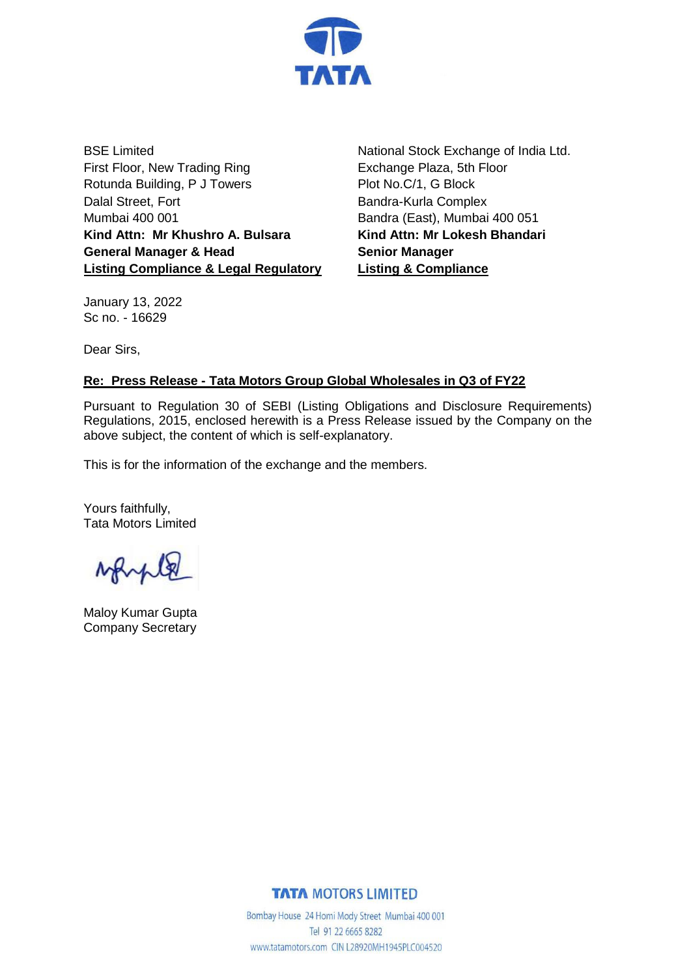

BSE Limited First Floor, New Trading Ring Rotunda Building, P J Towers Dalal Street, Fort Mumbai 400 001 **Kind Attn: Mr Khushro A. Bulsara General Manager & Head Listing Compliance & Legal Regulatory** National Stock Exchange of India Ltd. Exchange Plaza, 5th Floor Plot No.C/1, G Block Bandra-Kurla Complex Bandra (East), Mumbai 400 051 **Kind Attn: Mr Lokesh Bhandari Senior Manager Listing & Compliance**

January 13, 2022 Sc no. - 16629

Dear Sirs,

## **Re: Press Release - Tata Motors Group Global Wholesales in Q3 of FY22**

Pursuant to Regulation 30 of SEBI (Listing Obligations and Disclosure Requirements) Regulations, 2015, enclosed herewith is a Press Release issued by the Company on the above subject, the content of which is self-explanatory.

This is for the information of the exchange and the members.

Yours faithfully, Tata Motors Limited

Maloy Kumar Gupta Company Secretary

## **TATA MOTORS LIMITED**

Bombay House 24 Homi Mody Street Mumbai 400 001 Tel 91 22 6665 8282 www.tatamotors.com CIN L28920MH1945PLC004520